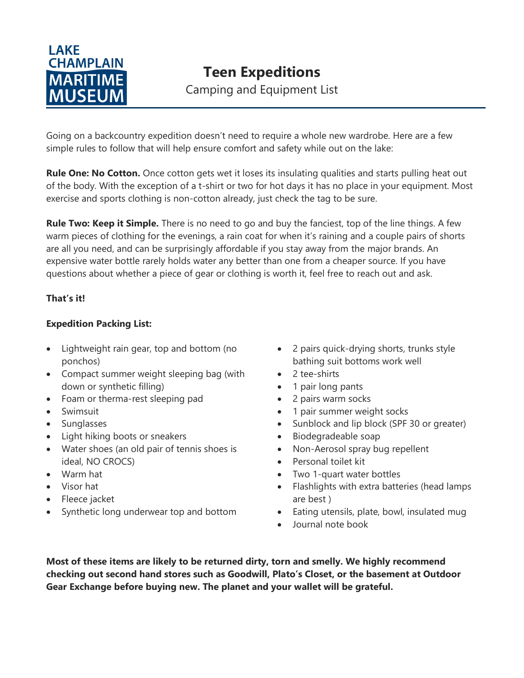

Going on a backcountry expedition doesn't need to require a whole new wardrobe. Here are a few simple rules to follow that will help ensure comfort and safety while out on the lake:

**Rule One: No Cotton.** Once cotton gets wet it loses its insulating qualities and starts pulling heat out of the body. With the exception of a t-shirt or two for hot days it has no place in your equipment. Most exercise and sports clothing is non-cotton already, just check the tag to be sure.

**Rule Two: Keep it Simple.** There is no need to go and buy the fanciest, top of the line things. A few warm pieces of clothing for the evenings, a rain coat for when it's raining and a couple pairs of shorts are all you need, and can be surprisingly affordable if you stay away from the major brands. An expensive water bottle rarely holds water any better than one from a cheaper source. If you have questions about whether a piece of gear or clothing is worth it, feel free to reach out and ask.

## **That's it!**

## **Expedition Packing List:**

- Lightweight rain gear, top and bottom (no ponchos)
- Compact summer weight sleeping bag (with down or synthetic filling)
- Foam or therma-rest sleeping pad
- Swimsuit
- Sunglasses
- Light hiking boots or sneakers
- Water shoes (an old pair of tennis shoes is ideal, NO CROCS)
- Warm hat
- Visor hat
- Fleece jacket
- Synthetic long underwear top and bottom
- 2 pairs quick-drying shorts, trunks style bathing suit bottoms work well
- 2 tee-shirts
- 1 pair long pants
- 2 pairs warm socks
- 1 pair summer weight socks
- Sunblock and lip block (SPF 30 or greater)
- Biodegradeable soap
- Non-Aerosol spray bug repellent
- Personal toilet kit
- Two 1-quart water bottles
- Flashlights with extra batteries (head lamps are best )
- Eating utensils, plate, bowl, insulated mug
- Journal note book

**Most of these items are likely to be returned dirty, torn and smelly. We highly recommend checking out second hand stores such as Goodwill, Plato's Closet, or the basement at Outdoor Gear Exchange before buying new. The planet and your wallet will be grateful.**